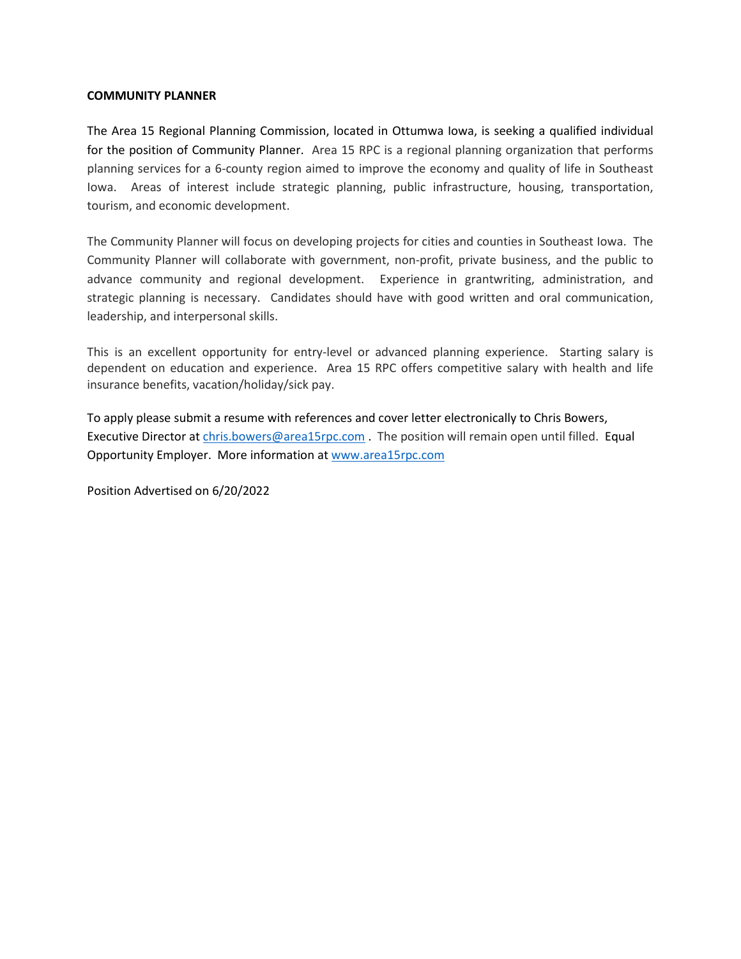## **COMMUNITY PLANNER**

The Area 15 Regional Planning Commission, located in Ottumwa Iowa, is seeking a qualified individual for the position of Community Planner. Area 15 RPC is a regional planning organization that performs planning services for a 6-county region aimed to improve the economy and quality of life in Southeast Iowa. Areas of interest include strategic planning, public infrastructure, housing, transportation, tourism, and economic development.

The Community Planner will focus on developing projects for cities and counties in Southeast Iowa. The Community Planner will collaborate with government, non-profit, private business, and the public to advance community and regional development. Experience in grantwriting, administration, and strategic planning is necessary. Candidates should have with good written and oral communication, leadership, and interpersonal skills.

This is an excellent opportunity for entry-level or advanced planning experience. Starting salary is dependent on education and experience. Area 15 RPC offers competitive salary with health and life insurance benefits, vacation/holiday/sick pay.

To apply please submit a resume with references and cover letter electronically to Chris Bowers, Executive Director a[t chris.bowers@area15rpc.com](mailto:chris.bowers@area15rpc.com) . The position will remain open until filled. Equal Opportunity Employer. More information at [www.area15rpc.com](http://www.area15rpc.com/)

Position Advertised on 6/20/2022